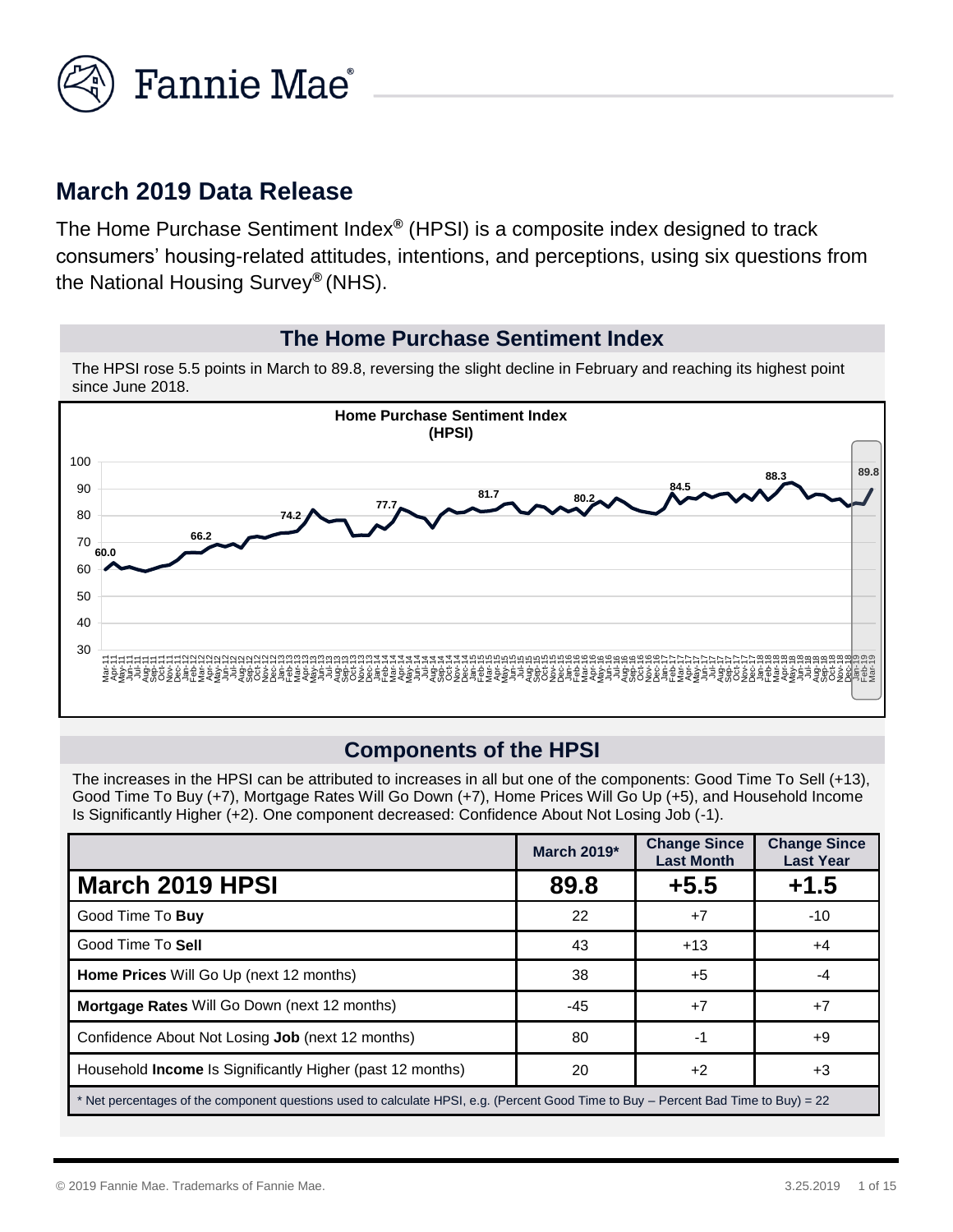

# **March 2019 Data Release**

The Home Purchase Sentiment Index*®* (HPSI) is a composite index designed to track consumers' housing-related attitudes, intentions, and perceptions, using six questions from the National Housing Survey*®* (NHS).

#### **The Home Purchase Sentiment Index**

The HPSI rose 5.5 points in March to 89.8, reversing the slight decline in February and reaching its highest point since June 2018.



#### **Components of the HPSI**

The increases in the HPSI can be attributed to increases in all but one of the components: Good Time To Sell (+13), Good Time To Buy (+7), Mortgage Rates Will Go Down (+7), Home Prices Will Go Up (+5), and Household Income Is Significantly Higher (+2). One component decreased: Confidence About Not Losing Job (-1).

|                                                                                                                                     | March 2019* | <b>Change Since</b><br><b>Last Month</b> | <b>Change Since</b><br><b>Last Year</b> |
|-------------------------------------------------------------------------------------------------------------------------------------|-------------|------------------------------------------|-----------------------------------------|
| <b>March 2019 HPSI</b>                                                                                                              | 89.8        | $+5.5$                                   | $+1.5$                                  |
| Good Time To Buy                                                                                                                    | 22          | $+7$                                     | -10                                     |
| Good Time To Sell                                                                                                                   | 43          | $+13$                                    | $+4$                                    |
| Home Prices Will Go Up (next 12 months)                                                                                             | 38          | +5                                       |                                         |
| Mortgage Rates Will Go Down (next 12 months)                                                                                        | $-45$       | $+7$                                     | $+7$                                    |
| Confidence About Not Losing <b>Job</b> (next 12 months)                                                                             | 80          | -1                                       | +9                                      |
| Household <b>Income</b> Is Significantly Higher (past 12 months)                                                                    | 20          | $+2$                                     | +3                                      |
| * Net percentages of the component questions used to calculate HPSI, e.g. (Percent Good Time to Buy – Percent Bad Time to Buy) = 22 |             |                                          |                                         |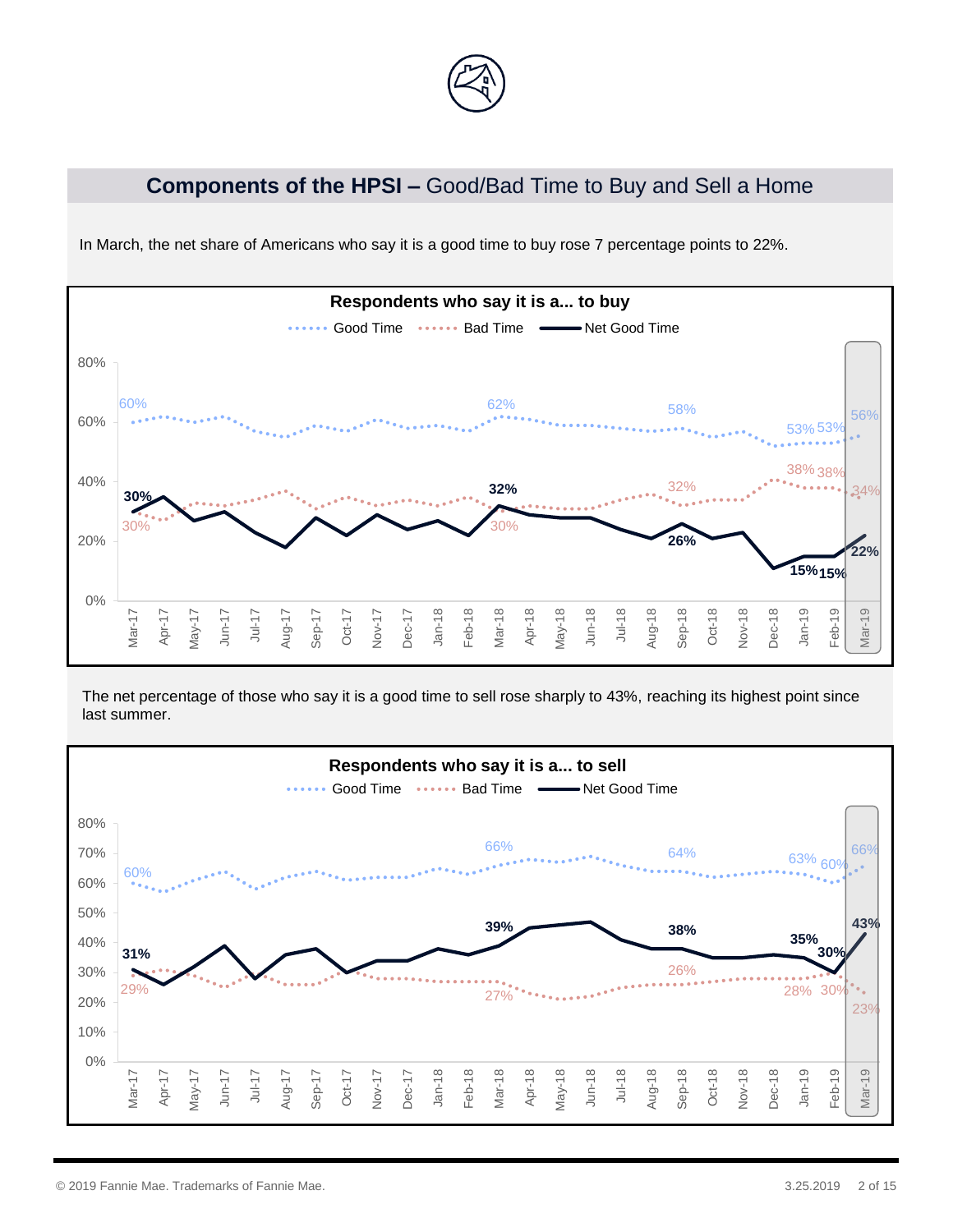

# **Components of the HPSI –** Good/Bad Time to Buy and Sell a Home



In March, the net share of Americans who say it is a good time to buy rose 7 percentage points to 22%.

The net percentage of those who say it is a good time to sell rose sharply to 43%, reaching its highest point since last summer.

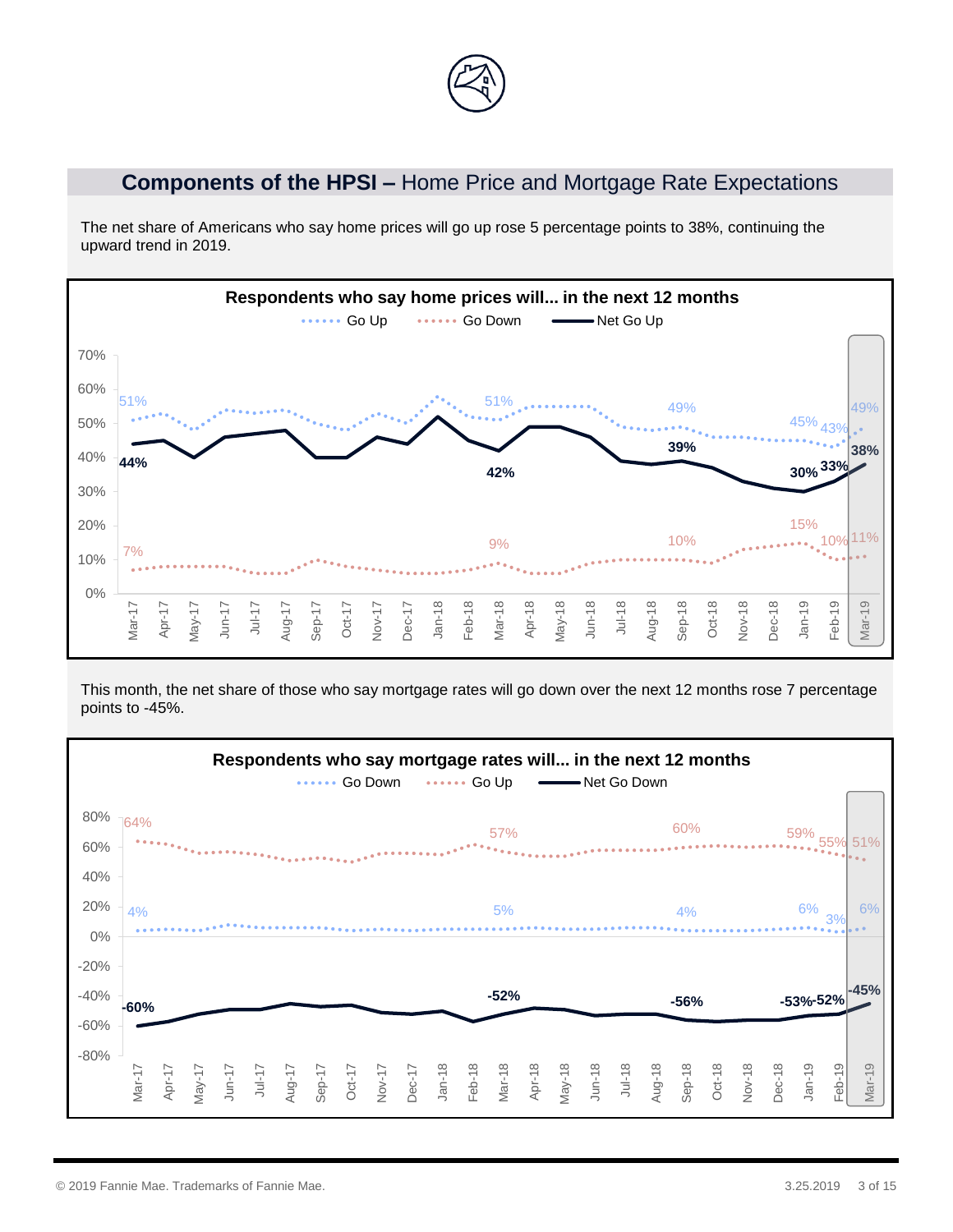# **Components of the HPSI –** Home Price and Mortgage Rate Expectations

The net share of Americans who say home prices will go up rose 5 percentage points to 38%, continuing the upward trend in 2019.



This month, the net share of those who say mortgage rates will go down over the next 12 months rose 7 percentage points to -45%.

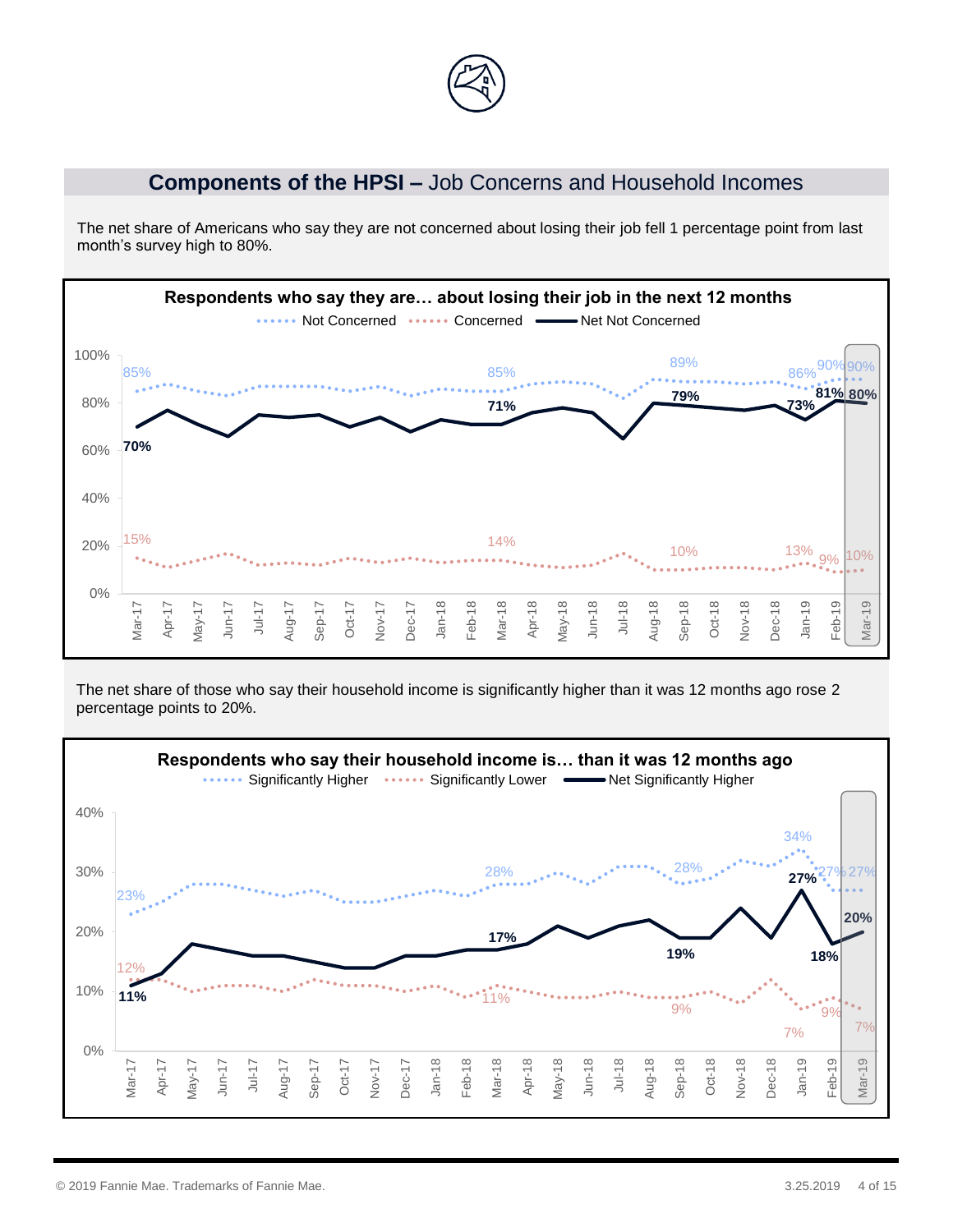

#### **Components of the HPSI –** Job Concerns and Household Incomes

The net share of Americans who say they are not concerned about losing their job fell 1 percentage point from last month's survey high to 80%.



The net share of those who say their household income is significantly higher than it was 12 months ago rose 2 percentage points to 20%.

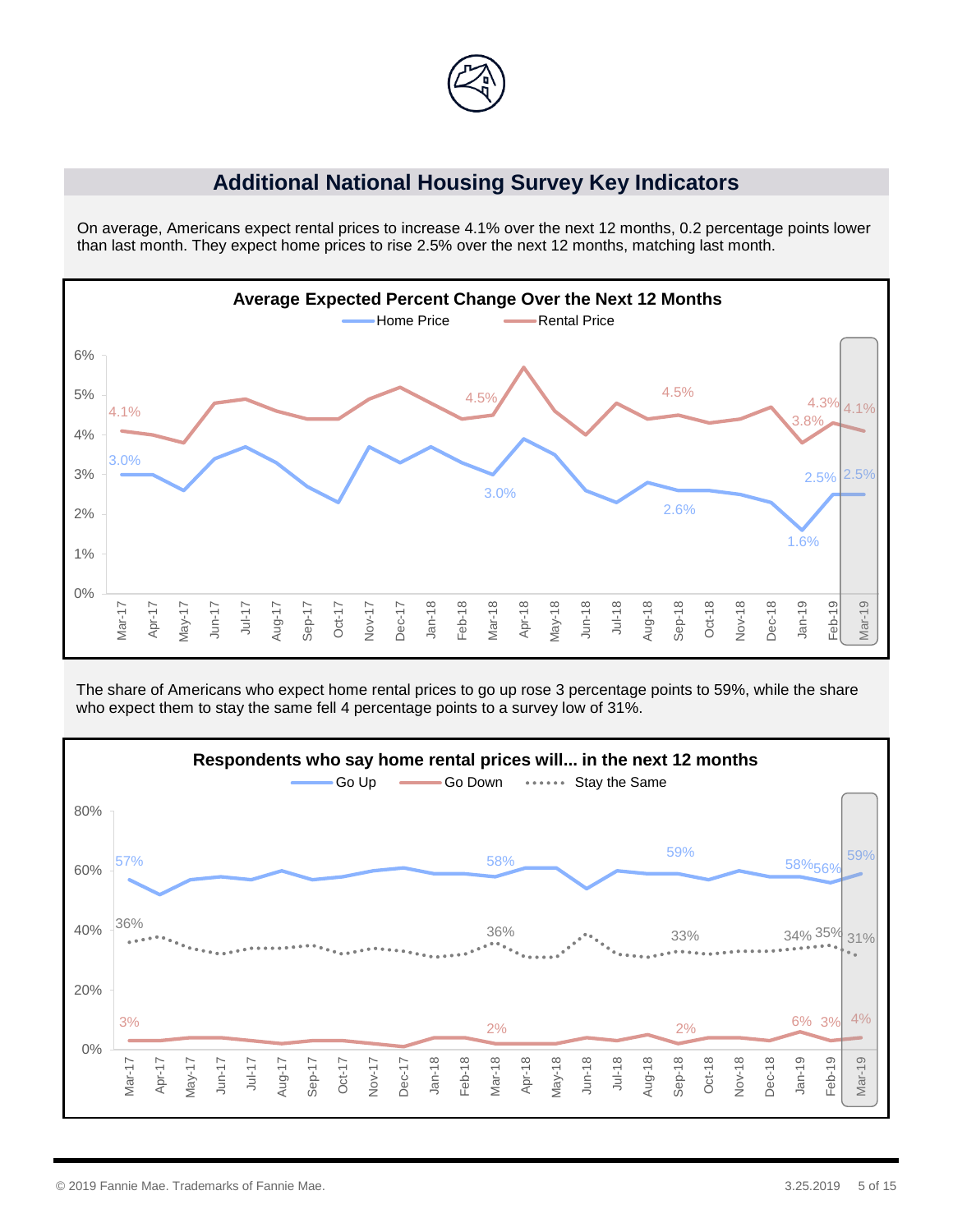

#### **Additional National Housing Survey Key Indicators**

On average, Americans expect rental prices to increase 4.1% over the next 12 months, 0.2 percentage points lower than last month. They expect home prices to rise 2.5% over the next 12 months, matching last month.



The share of Americans who expect home rental prices to go up rose 3 percentage points to 59%, while the share who expect them to stay the same fell 4 percentage points to a survey low of 31%.

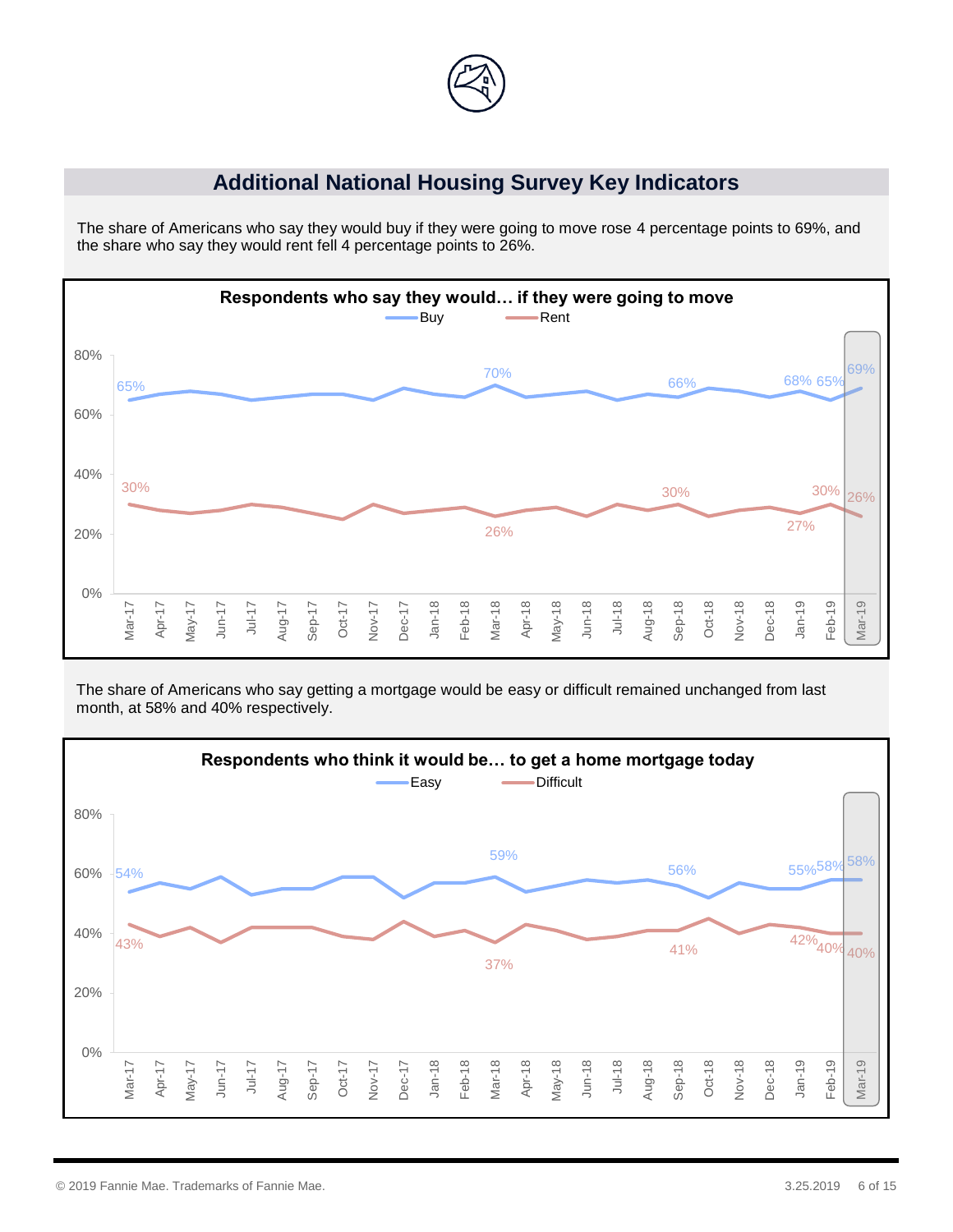

# **Additional National Housing Survey Key Indicators**

The share of Americans who say they would buy if they were going to move rose 4 percentage points to 69%, and the share who say they would rent fell 4 percentage points to 26%.



The share of Americans who say getting a mortgage would be easy or difficult remained unchanged from last month, at 58% and 40% respectively.

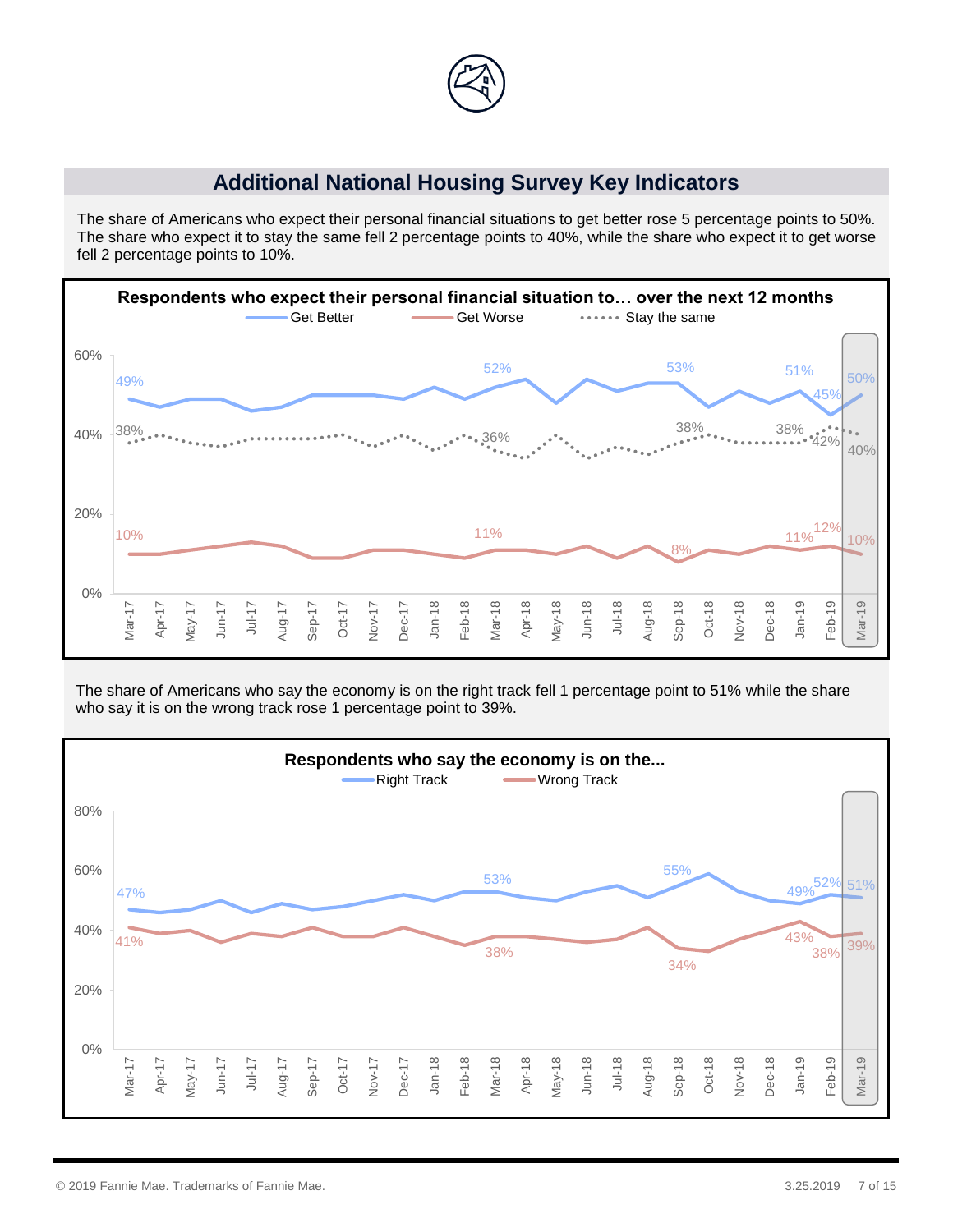

### **Additional National Housing Survey Key Indicators**

The share of Americans who expect their personal financial situations to get better rose 5 percentage points to 50%. The share who expect it to stay the same fell 2 percentage points to 40%, while the share who expect it to get worse fell 2 percentage points to 10%.



The share of Americans who say the economy is on the right track fell 1 percentage point to 51% while the share who say it is on the wrong track rose 1 percentage point to 39%.

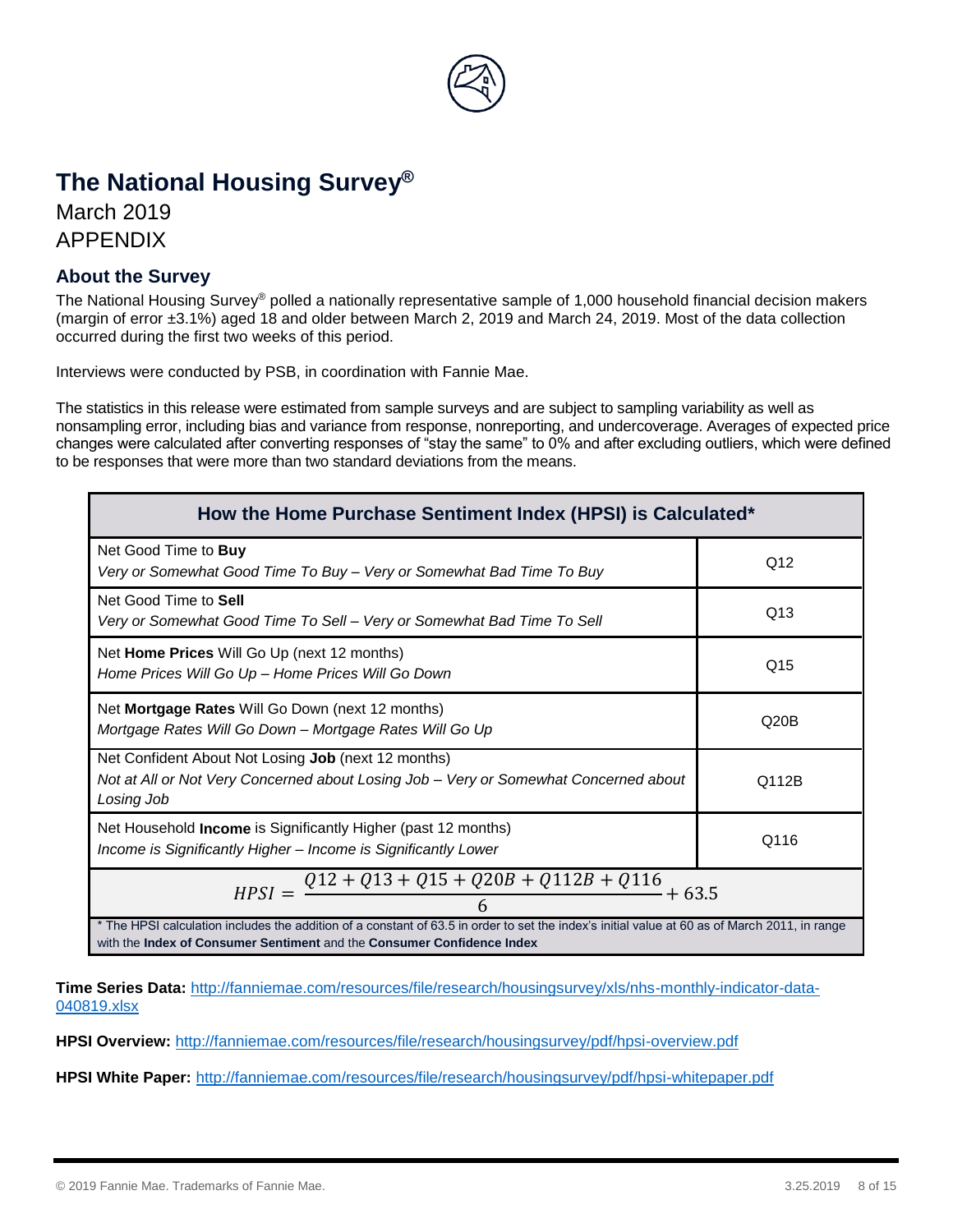

# **The National Housing Survey®**

March 2019 APPENDIX

#### **About the Survey**

The National Housing Survey® polled a nationally representative sample of 1,000 household financial decision makers (margin of error ±3.1%) aged 18 and older between March 2, 2019 and March 24, 2019. Most of the data collection occurred during the first two weeks of this period.

Interviews were conducted by PSB, in coordination with Fannie Mae.

The statistics in this release were estimated from sample surveys and are subject to sampling variability as well as nonsampling error, including bias and variance from response, nonreporting, and undercoverage. Averages of expected price changes were calculated after converting responses of "stay the same" to 0% and after excluding outliers, which were defined to be responses that were more than two standard deviations from the means.

| How the Home Purchase Sentiment Index (HPSI) is Calculated*                                                                                                                                                             |       |  |  |
|-------------------------------------------------------------------------------------------------------------------------------------------------------------------------------------------------------------------------|-------|--|--|
| Net Good Time to <b>Buy</b><br>Very or Somewhat Good Time To Buy - Very or Somewhat Bad Time To Buy                                                                                                                     | Q12   |  |  |
| Net Good Time to Sell<br>Very or Somewhat Good Time To Sell - Very or Somewhat Bad Time To Sell                                                                                                                         | Q13   |  |  |
| Net Home Prices Will Go Up (next 12 months)<br>Home Prices Will Go Up - Home Prices Will Go Down                                                                                                                        | Q15   |  |  |
| Net Mortgage Rates Will Go Down (next 12 months)<br>Mortgage Rates Will Go Down - Mortgage Rates Will Go Up                                                                                                             | Q20B  |  |  |
| Net Confident About Not Losing Job (next 12 months)<br>Not at All or Not Very Concerned about Losing Job – Very or Somewhat Concerned about<br>Losing Job                                                               | Q112B |  |  |
| Net Household <b>Income</b> is Significantly Higher (past 12 months)<br>Income is Significantly Higher - Income is Significantly Lower                                                                                  | Q116  |  |  |
| $Q12 + Q13 + Q15 + Q20B + Q112B + Q116$<br>$HPSI =$<br>$+63.5$                                                                                                                                                          |       |  |  |
| * The HPSI calculation includes the addition of a constant of 63.5 in order to set the index's initial value at 60 as of March 2011, in range<br>with the Index of Consumer Sentiment and the Consumer Confidence Index |       |  |  |

**Time Series Data:** [http://fanniemae.com/resources/file/research/housingsurvey/xls/nhs-monthly-indicator-data-](http://fanniemae.com/resources/file/research/housingsurvey/xls/nhs-monthly-indicator-data-040819.xlsx)[040819.xlsx](http://fanniemae.com/resources/file/research/housingsurvey/xls/nhs-monthly-indicator-data-040819.xlsx)

**HPSI Overview:** <http://fanniemae.com/resources/file/research/housingsurvey/pdf/hpsi-overview.pdf>

**HPSI White Paper:** <http://fanniemae.com/resources/file/research/housingsurvey/pdf/hpsi-whitepaper.pdf>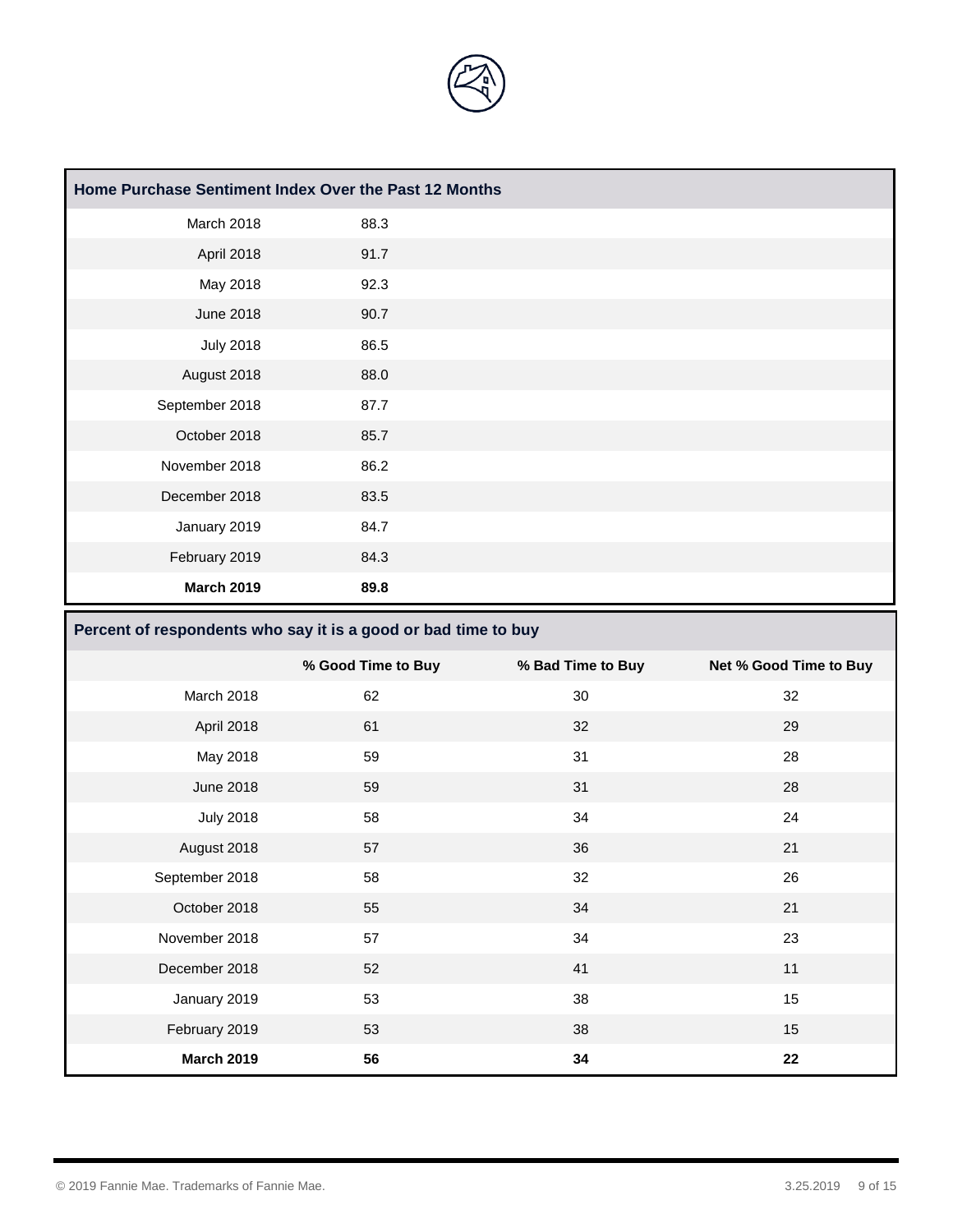

| Home Purchase Sentiment Index Over the Past 12 Months |      |  |
|-------------------------------------------------------|------|--|
| March 2018                                            | 88.3 |  |
| April 2018                                            | 91.7 |  |
| May 2018                                              | 92.3 |  |
| <b>June 2018</b>                                      | 90.7 |  |
| <b>July 2018</b>                                      | 86.5 |  |
| August 2018                                           | 88.0 |  |
| September 2018                                        | 87.7 |  |
| October 2018                                          | 85.7 |  |
| November 2018                                         | 86.2 |  |
| December 2018                                         | 83.5 |  |
| January 2019                                          | 84.7 |  |
| February 2019                                         | 84.3 |  |
| <b>March 2019</b>                                     | 89.8 |  |

#### **Percent of respondents who say it is a good or bad time to buy**

|                   | % Good Time to Buy | % Bad Time to Buy | Net % Good Time to Buy |
|-------------------|--------------------|-------------------|------------------------|
| March 2018        | 62                 | 30                | 32                     |
| April 2018        | 61                 | 32                | 29                     |
| May 2018          | 59                 | 31                | 28                     |
| <b>June 2018</b>  | 59                 | 31                | 28                     |
| <b>July 2018</b>  | 58                 | 34                | 24                     |
| August 2018       | 57                 | 36                | 21                     |
| September 2018    | 58                 | 32                | 26                     |
| October 2018      | 55                 | 34                | 21                     |
| November 2018     | 57                 | 34                | 23                     |
| December 2018     | 52                 | 41                | 11                     |
| January 2019      | 53                 | 38                | 15                     |
| February 2019     | 53                 | 38                | 15                     |
| <b>March 2019</b> | 56                 | 34                | 22                     |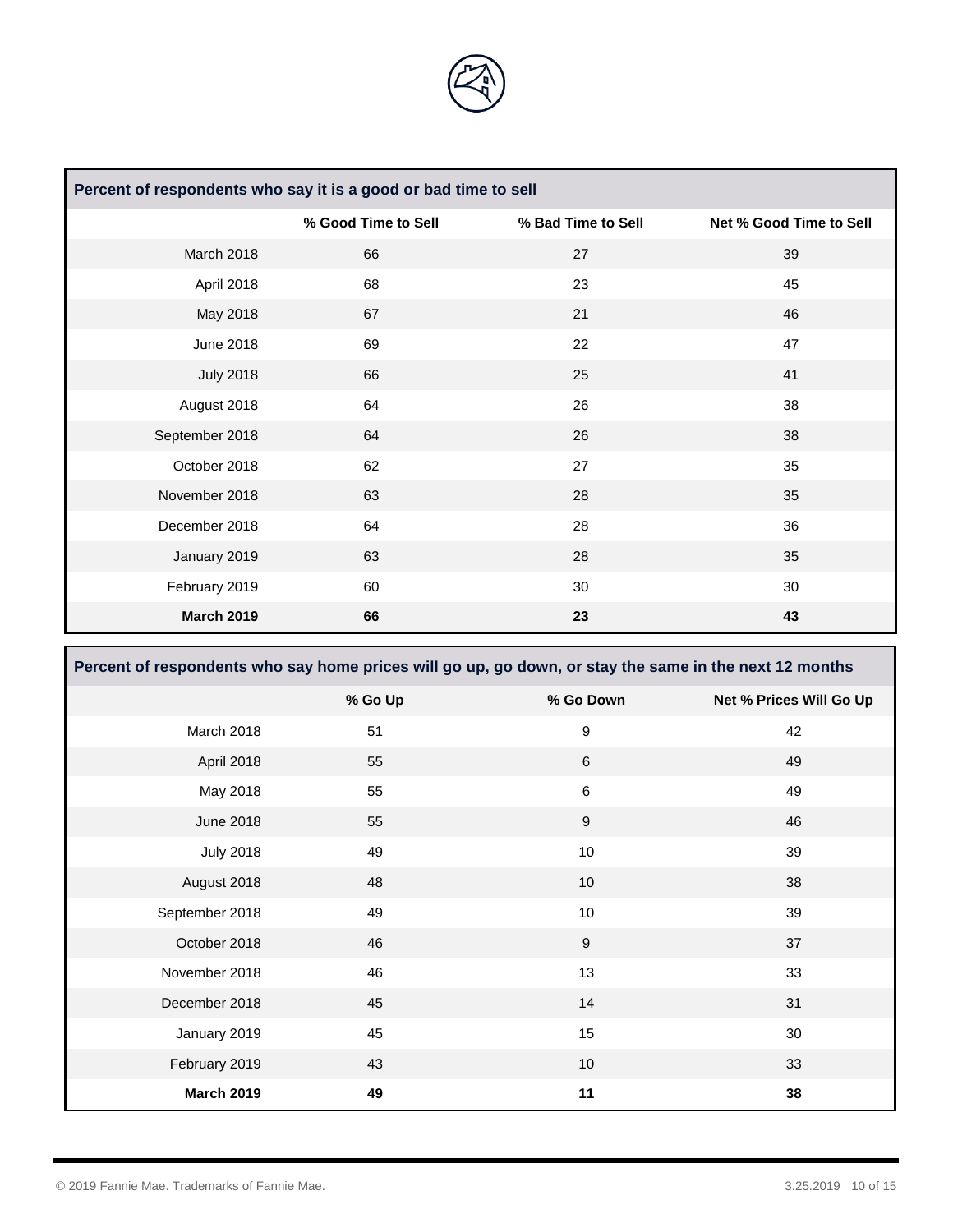

| Percent of respondents who say it is a good or bad time to sell |                     |                    |                         |
|-----------------------------------------------------------------|---------------------|--------------------|-------------------------|
|                                                                 | % Good Time to Sell | % Bad Time to Sell | Net % Good Time to Sell |
| March 2018                                                      | 66                  | 27                 | 39                      |
| April 2018                                                      | 68                  | 23                 | 45                      |
| May 2018                                                        | 67                  | 21                 | 46                      |
| <b>June 2018</b>                                                | 69                  | 22                 | 47                      |
| <b>July 2018</b>                                                | 66                  | 25                 | 41                      |
| August 2018                                                     | 64                  | 26                 | 38                      |
| September 2018                                                  | 64                  | 26                 | 38                      |
| October 2018                                                    | 62                  | 27                 | 35                      |
| November 2018                                                   | 63                  | 28                 | 35                      |
| December 2018                                                   | 64                  | 28                 | 36                      |
| January 2019                                                    | 63                  | 28                 | 35                      |
| February 2019                                                   | 60                  | 30                 | 30                      |
| <b>March 2019</b>                                               | 66                  | 23                 | 43                      |

| Percent of respondents who say home prices will go up, go down, or stay the same in the next 12 months |         |                  |                         |
|--------------------------------------------------------------------------------------------------------|---------|------------------|-------------------------|
|                                                                                                        | % Go Up | % Go Down        | Net % Prices Will Go Up |
| March 2018                                                                                             | 51      | 9                | 42                      |
| April 2018                                                                                             | 55      | $\,6\,$          | 49                      |
| May 2018                                                                                               | 55      | $\,6\,$          | 49                      |
| <b>June 2018</b>                                                                                       | 55      | $\boldsymbol{9}$ | 46                      |
| <b>July 2018</b>                                                                                       | 49      | 10               | 39                      |
| August 2018                                                                                            | 48      | 10               | 38                      |
| September 2018                                                                                         | 49      | 10               | 39                      |
| October 2018                                                                                           | 46      | $\boldsymbol{9}$ | 37                      |
| November 2018                                                                                          | 46      | 13               | 33                      |
| December 2018                                                                                          | 45      | 14               | 31                      |
| January 2019                                                                                           | 45      | 15               | 30                      |
| February 2019                                                                                          | 43      | 10               | 33                      |
| <b>March 2019</b>                                                                                      | 49      | 11               | 38                      |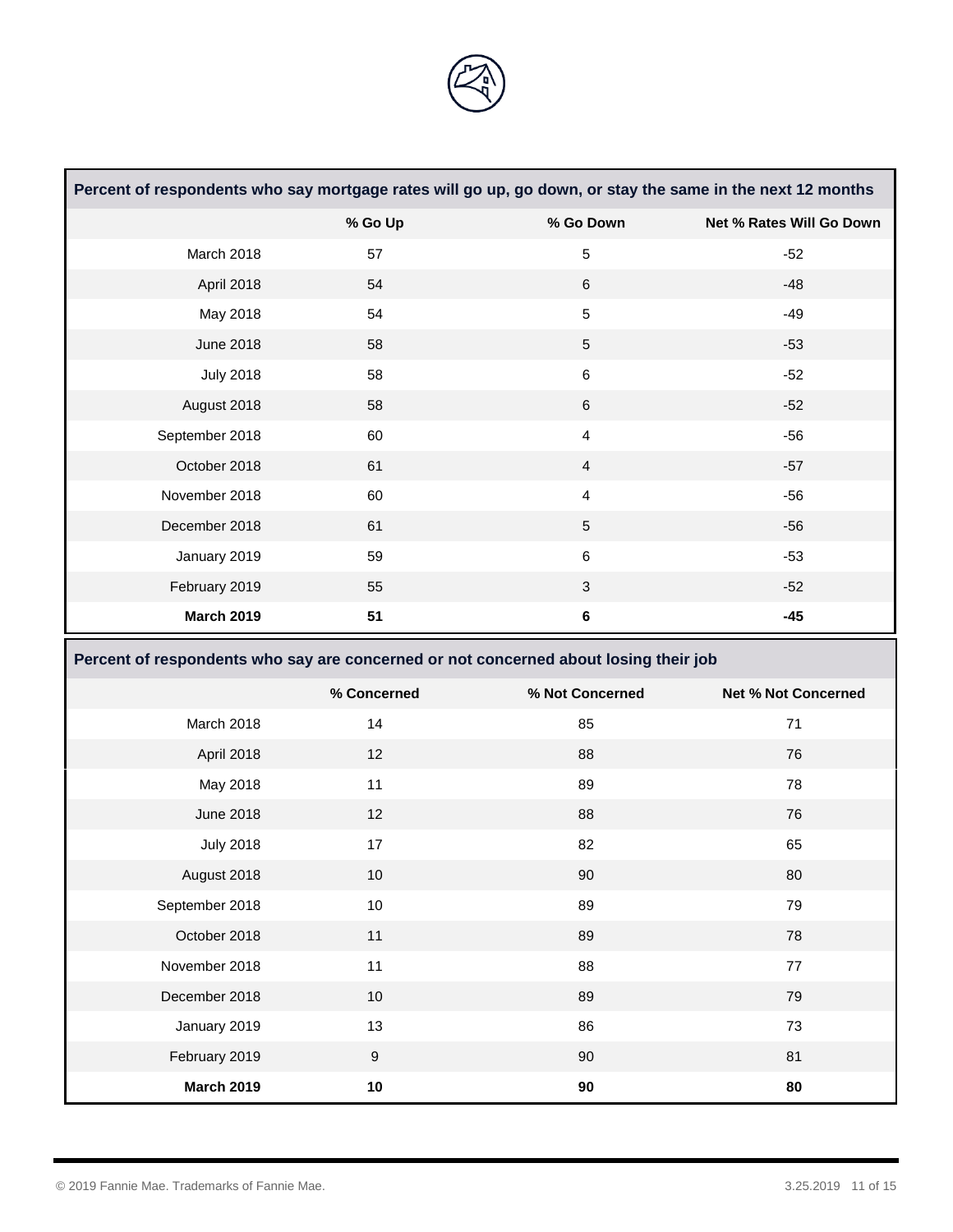

|                   | Percent of respondents who say mortgage rates will go up, go down, or stay the same in the next 12 months |                 |                            |
|-------------------|-----------------------------------------------------------------------------------------------------------|-----------------|----------------------------|
|                   | % Go Up                                                                                                   | % Go Down       | Net % Rates Will Go Down   |
| March 2018        | 57                                                                                                        | $\sqrt{5}$      | $-52$                      |
| April 2018        | 54                                                                                                        | $\,6\,$         | $-48$                      |
| May 2018          | 54                                                                                                        | $\sqrt{5}$      | $-49$                      |
| <b>June 2018</b>  | 58                                                                                                        | $\sqrt{5}$      | $-53$                      |
| <b>July 2018</b>  | 58                                                                                                        | $\,6$           | $-52$                      |
| August 2018       | 58                                                                                                        | $6\phantom{1}$  | $-52$                      |
| September 2018    | 60                                                                                                        | $\overline{4}$  | $-56$                      |
| October 2018      | 61                                                                                                        | $\overline{4}$  | $-57$                      |
| November 2018     | 60                                                                                                        | $\overline{4}$  | $-56$                      |
| December 2018     | 61                                                                                                        | $\sqrt{5}$      | $-56$                      |
| January 2019      | 59                                                                                                        | $\,6$           | $-53$                      |
| February 2019     | 55                                                                                                        | 3               | $-52$                      |
| <b>March 2019</b> | 51                                                                                                        | $\bf 6$         | $-45$                      |
|                   | Percent of respondents who say are concerned or not concerned about losing their job                      |                 |                            |
|                   |                                                                                                           |                 |                            |
|                   | % Concerned                                                                                               | % Not Concerned | <b>Net % Not Concerned</b> |
| March 2018        | 14                                                                                                        | 85              | 71                         |
| April 2018        | 12                                                                                                        | 88              | 76                         |
| May 2018          | 11                                                                                                        | 89              | 78                         |
| <b>June 2018</b>  | 12                                                                                                        | 88              | 76                         |
| <b>July 2018</b>  | 17                                                                                                        | 82              | 65                         |
| August 2018       | 10                                                                                                        | 90              | 80                         |
| September 2018    | $10$                                                                                                      | 89              | 79                         |
| October 2018      | 11                                                                                                        | 89              | 78                         |
| November 2018     | 11                                                                                                        | 88              | $77\,$                     |
| December 2018     | 10                                                                                                        | 89              | 79                         |
| January 2019      | 13                                                                                                        | 86              | 73                         |
| February 2019     | $\boldsymbol{9}$                                                                                          | $90\,$          | 81                         |

**The Committee of the Committee of the Committee** 

and the state of the state of the state of the state of the state of the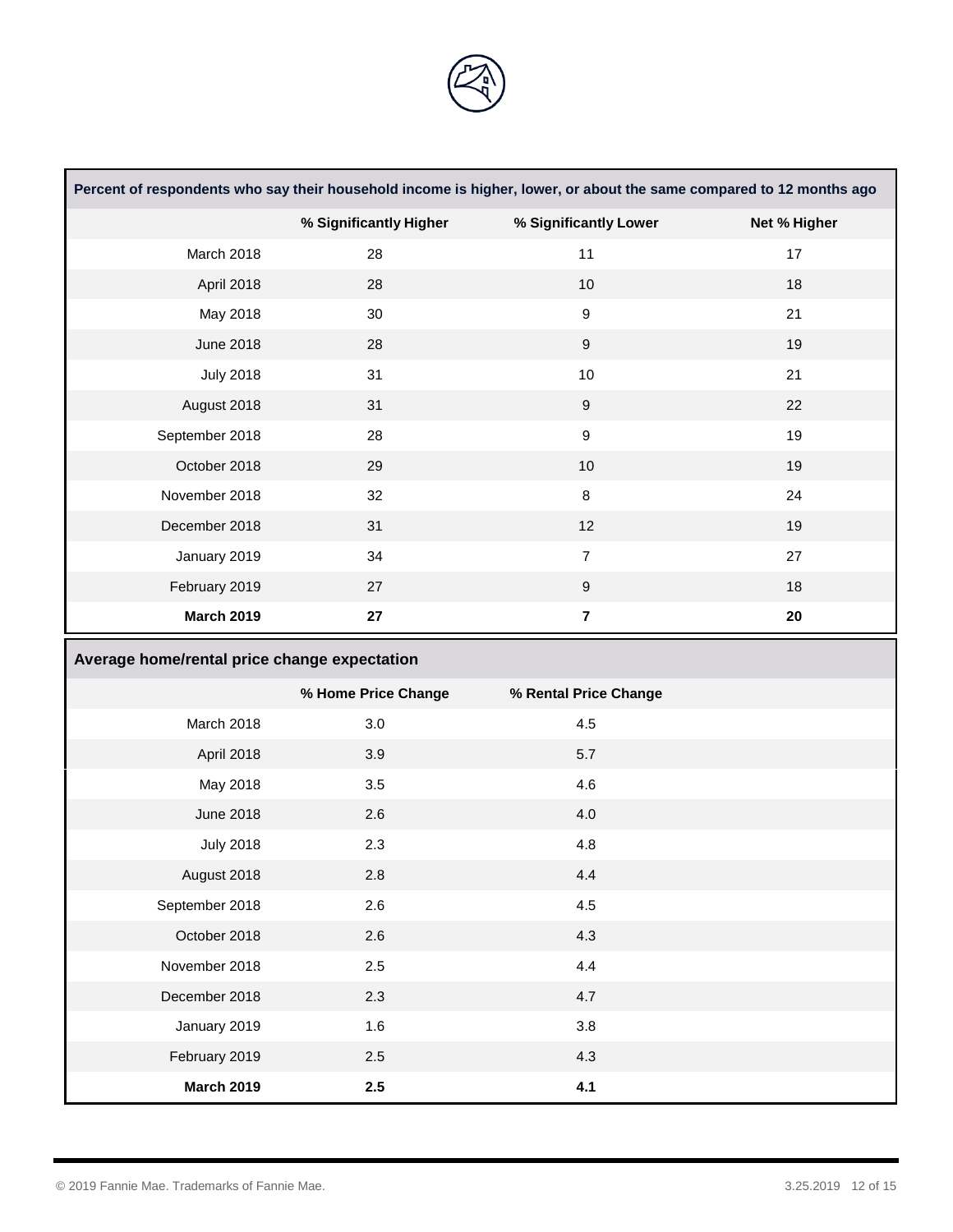

|                                              | Percent of respondents who say their household income is higher, lower, or about the same compared to 12 months ago |                         |              |
|----------------------------------------------|---------------------------------------------------------------------------------------------------------------------|-------------------------|--------------|
|                                              | % Significantly Higher                                                                                              | % Significantly Lower   | Net % Higher |
| March 2018                                   | 28                                                                                                                  | 11                      | 17           |
| April 2018                                   | 28                                                                                                                  | $10$                    | 18           |
| May 2018                                     | 30                                                                                                                  | $\boldsymbol{9}$        | 21           |
| <b>June 2018</b>                             | 28                                                                                                                  | $\boldsymbol{9}$        | 19           |
| <b>July 2018</b>                             | 31                                                                                                                  | 10                      | 21           |
| August 2018                                  | 31                                                                                                                  | $\boldsymbol{9}$        | 22           |
| September 2018                               | 28                                                                                                                  | $\boldsymbol{9}$        | 19           |
| October 2018                                 | 29                                                                                                                  | 10                      | 19           |
| November 2018                                | 32                                                                                                                  | $\bf 8$                 | 24           |
| December 2018                                | 31                                                                                                                  | 12                      | 19           |
| January 2019                                 | 34                                                                                                                  | $\overline{7}$          | 27           |
| February 2019                                | 27                                                                                                                  | $\boldsymbol{9}$        | 18           |
| <b>March 2019</b>                            | 27                                                                                                                  | $\overline{\mathbf{7}}$ | ${\bf 20}$   |
|                                              |                                                                                                                     |                         |              |
| Average home/rental price change expectation |                                                                                                                     |                         |              |
|                                              | % Home Price Change                                                                                                 | % Rental Price Change   |              |
| March 2018                                   | 3.0                                                                                                                 | 4.5                     |              |
| April 2018                                   | 3.9                                                                                                                 | 5.7                     |              |
| May 2018                                     | $3.5\,$                                                                                                             | 4.6                     |              |
| <b>June 2018</b>                             | 2.6                                                                                                                 | 4.0                     |              |
| <b>July 2018</b>                             | 2.3                                                                                                                 | 4.8                     |              |
| August 2018                                  | 2.8                                                                                                                 | 4.4                     |              |
| September 2018                               | 2.6                                                                                                                 | 4.5                     |              |
| October 2018                                 | 2.6                                                                                                                 | 4.3                     |              |
| November 2018                                | $2.5\,$                                                                                                             | 4.4                     |              |
| December 2018                                | 2.3                                                                                                                 | 4.7                     |              |
| January 2019                                 | 1.6                                                                                                                 | $3.8\,$                 |              |
| February 2019                                | $2.5\,$                                                                                                             | 4.3                     |              |

<u> Tanzania di Bandaria di Bandaria di Bandaria di Bandaria di Bandaria di Bandaria di Bandaria di Bandaria di Ba</u>

<u> 1989 - Johann Barnett, mars eta inperiodoren erroman erroman erroman erroman erroman erroman erroman erroman</u>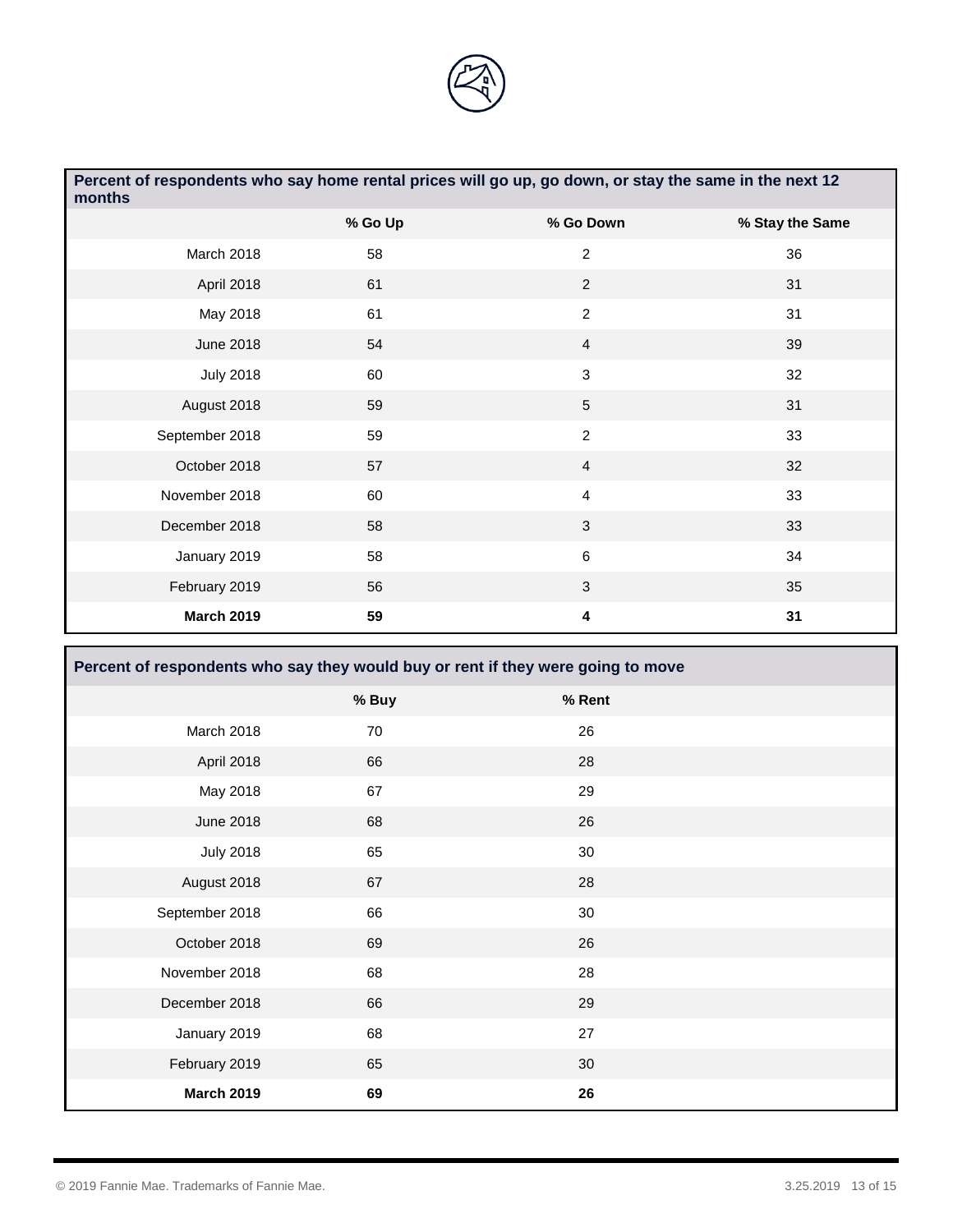

| Percent of respondents who say home rental prices will go up, go down, or stay the same in the next 12<br>months |         |                |                 |
|------------------------------------------------------------------------------------------------------------------|---------|----------------|-----------------|
|                                                                                                                  | % Go Up | % Go Down      | % Stay the Same |
| March 2018                                                                                                       | 58      | $\overline{2}$ | 36              |
| April 2018                                                                                                       | 61      | $\overline{2}$ | 31              |
| May 2018                                                                                                         | 61      | $\overline{2}$ | 31              |
| June 2018                                                                                                        | 54      | $\overline{4}$ | 39              |
| <b>July 2018</b>                                                                                                 | 60      | 3              | 32              |
| August 2018                                                                                                      | 59      | 5              | 31              |
| September 2018                                                                                                   | 59      | $\overline{c}$ | 33              |
| October 2018                                                                                                     | 57      | $\overline{4}$ | 32              |
| November 2018                                                                                                    | 60      | $\overline{4}$ | 33              |
| December 2018                                                                                                    | 58      | $\mathfrak{S}$ | 33              |
| January 2019                                                                                                     | 58      | 6              | 34              |
| February 2019                                                                                                    | 56      | 3              | 35              |
| <b>March 2019</b>                                                                                                | 59      | 4              | 31              |

| Percent of respondents who say they would buy or rent if they were going to move |       |        |  |
|----------------------------------------------------------------------------------|-------|--------|--|
|                                                                                  | % Buy | % Rent |  |
| March 2018                                                                       | 70    | 26     |  |
| April 2018                                                                       | 66    | 28     |  |
| May 2018                                                                         | 67    | 29     |  |
| <b>June 2018</b>                                                                 | 68    | 26     |  |
| <b>July 2018</b>                                                                 | 65    | 30     |  |
| August 2018                                                                      | 67    | 28     |  |
| September 2018                                                                   | 66    | 30     |  |
| October 2018                                                                     | 69    | 26     |  |
| November 2018                                                                    | 68    | 28     |  |
| December 2018                                                                    | 66    | 29     |  |
| January 2019                                                                     | 68    | 27     |  |
| February 2019                                                                    | 65    | 30     |  |
| <b>March 2019</b>                                                                | 69    | 26     |  |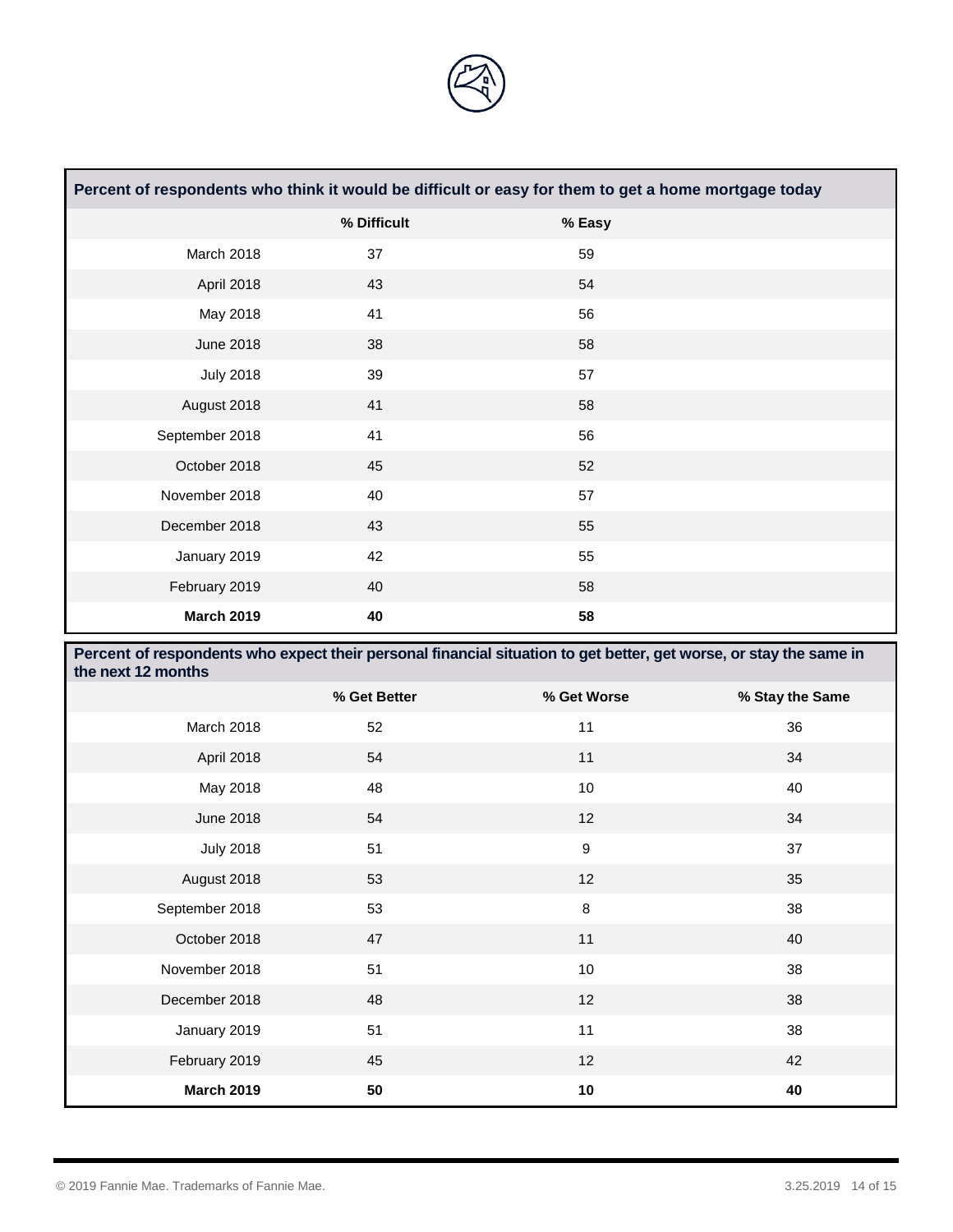

| Percent of respondents who think it would be difficult or easy for them to get a home mortgage today |             |        |  |
|------------------------------------------------------------------------------------------------------|-------------|--------|--|
|                                                                                                      | % Difficult | % Easy |  |
| March 2018                                                                                           | 37          | 59     |  |
| April 2018                                                                                           | 43          | 54     |  |
| May 2018                                                                                             | 41          | 56     |  |
| <b>June 2018</b>                                                                                     | 38          | 58     |  |
| <b>July 2018</b>                                                                                     | 39          | 57     |  |
| August 2018                                                                                          | 41          | 58     |  |
| September 2018                                                                                       | 41          | 56     |  |
| October 2018                                                                                         | 45          | 52     |  |
| November 2018                                                                                        | 40          | 57     |  |
| December 2018                                                                                        | 43          | 55     |  |
| January 2019                                                                                         | 42          | 55     |  |
| February 2019                                                                                        | 40          | 58     |  |
| <b>March 2019</b>                                                                                    | 40          | 58     |  |

| Percent of respondents who expect their personal financial situation to get better, get worse, or stay the same in<br>the next 12 months |              |                  |                 |
|------------------------------------------------------------------------------------------------------------------------------------------|--------------|------------------|-----------------|
|                                                                                                                                          | % Get Better | % Get Worse      | % Stay the Same |
| March 2018                                                                                                                               | 52           | 11               | 36              |
| April 2018                                                                                                                               | 54           | 11               | 34              |
| May 2018                                                                                                                                 | 48           | 10               | 40              |
| <b>June 2018</b>                                                                                                                         | 54           | 12               | 34              |
| <b>July 2018</b>                                                                                                                         | 51           | $\boldsymbol{9}$ | 37              |
| August 2018                                                                                                                              | 53           | 12               | 35              |
| September 2018                                                                                                                           | 53           | 8                | 38              |
| October 2018                                                                                                                             | 47           | 11               | 40              |
| November 2018                                                                                                                            | 51           | 10               | 38              |
| December 2018                                                                                                                            | 48           | 12               | 38              |
| January 2019                                                                                                                             | 51           | 11               | 38              |
| February 2019                                                                                                                            | 45           | 12               | 42              |
| <b>March 2019</b>                                                                                                                        | 50           | 10               | 40              |